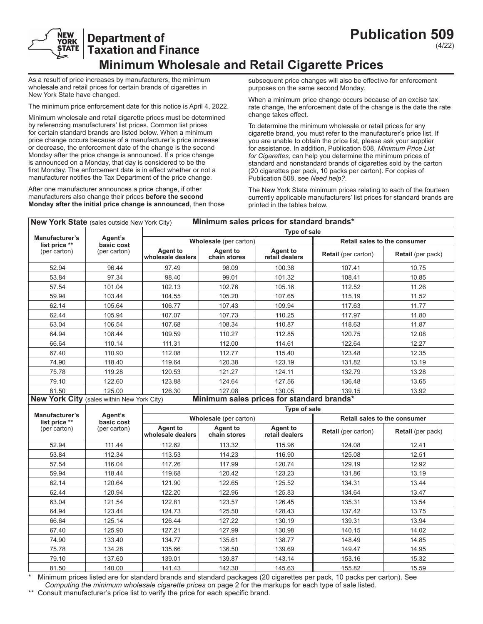## **Publication 509** (4/22)

# **Department of Taxation and Finance Minimum Wholesale and Retail Cigarette Prices**

As a result of price increases by manufacturers, the minimum wholesale and retail prices for certain brands of cigarettes in New York State have changed.

The minimum price enforcement date for this notice is April 4, 2022.

Minimum wholesale and retail cigarette prices must be determined by referencing manufacturers' list prices. Common list prices for certain standard brands are listed below. When a minimum price change occurs because of a manufacturer's price increase or decrease, the enforcement date of the change is the second Monday after the price change is announced. If a price change is announced on a Monday, that day is considered to be the first Monday. The enforcement date is in effect whether or not a manufacturer notifies the Tax Department of the price change.

After one manufacturer announces a price change, if other manufacturers also change their prices **before the second Monday after the initial price change is announced**, then those subsequent price changes will also be effective for enforcement purposes on the same second Monday.

When a minimum price change occurs because of an excise tax rate change, the enforcement date of the change is the date the rate change takes effect.

To determine the minimum wholesale or retail prices for any cigarette brand, you must refer to the manufacturer's price list. If you are unable to obtain the price list, please ask your supplier for assistance. In addition, Publication 508, *Minimum Price List for Cigarettes,* can help you determine the minimum prices of standard and nonstandard brands of cigarettes sold by the carton (20 cigarettes per pack, 10 packs per carton). For copies of Publication 508, see *Need help?*.

The New York State minimum prices relating to each of the fourteen currently applicable manufacturers' list prices for standard brands are printed in the tables below.

| Minimum sales prices for standard brands*<br><b>New York State</b> (sales outside New York City) |                                       |                                      |                                 |                                   |                              |                          |  |
|--------------------------------------------------------------------------------------------------|---------------------------------------|--------------------------------------|---------------------------------|-----------------------------------|------------------------------|--------------------------|--|
|                                                                                                  | Agent's<br>basic cost<br>(per carton) | Type of sale                         |                                 |                                   |                              |                          |  |
| <b>Manufacturer's</b><br>list price **<br>(per carton)                                           |                                       | <b>Wholesale</b> (per carton)        |                                 |                                   | Retail sales to the consumer |                          |  |
|                                                                                                  |                                       | <b>Agent to</b><br>wholesale dealers | <b>Agent to</b><br>chain stores | <b>Agent to</b><br>retail dealers | <b>Retail</b> (per carton)   | <b>Retail</b> (per pack) |  |
| 52.94                                                                                            | 96.44                                 | 97.49                                | 98.09                           | 100.38                            | 107.41                       | 10.75                    |  |
| 53.84                                                                                            | 97.34                                 | 98.40                                | 99.01                           | 101.32                            | 108.41                       | 10.85                    |  |
| 57.54                                                                                            | 101.04                                | 102.13                               | 102.76                          | 105.16                            | 112.52                       | 11.26                    |  |
| 59.94                                                                                            | 103.44                                | 104.55                               | 105.20                          | 107.65                            | 115.19                       | 11.52                    |  |
| 62.14                                                                                            | 105.64                                | 106.77                               | 107.43                          | 109.94                            | 117.63                       | 11.77                    |  |
| 62.44                                                                                            | 105.94                                | 107.07                               | 107.73                          | 110.25                            | 117.97                       | 11.80                    |  |
| 63.04                                                                                            | 106.54                                | 107.68                               | 108.34                          | 110.87                            | 118.63                       | 11.87                    |  |
| 64.94                                                                                            | 108.44                                | 109.59                               | 110.27                          | 112.85                            | 120.75                       | 12.08                    |  |
| 66.64                                                                                            | 110.14                                | 111.31                               | 112.00                          | 114.61                            | 122.64                       | 12.27                    |  |
| 67.40                                                                                            | 110.90                                | 112.08                               | 112.77                          | 115.40                            | 123.48                       | 12.35                    |  |
| 74.90                                                                                            | 118.40                                | 119.64                               | 120.38                          | 123.19                            | 131.82                       | 13.19                    |  |
| 75.78                                                                                            | 119.28                                | 120.53                               | 121.27                          | 124.11                            | 132.79                       | 13.28                    |  |
| 79.10                                                                                            | 122.60                                | 123.88                               | 124.64                          | 127.56                            | 136.48                       | 13.65                    |  |
| 81.50                                                                                            | 125.00                                | 126.30                               | 127.08                          | 130.05                            | 139.15                       | 13.92                    |  |
| <b>New York City (sales within New York City)</b><br>Minimum sales prices for standard brands*   |                                       |                                      |                                 |                                   |                              |                          |  |

| Manufacturer's<br>list price **<br>(per carton) | Agent's<br>basic cost<br>(per carton) | Type of sale                         |                                 |                                   |                              |                          |  |
|-------------------------------------------------|---------------------------------------|--------------------------------------|---------------------------------|-----------------------------------|------------------------------|--------------------------|--|
|                                                 |                                       | Wholesale (per carton)               |                                 |                                   | Retail sales to the consumer |                          |  |
|                                                 |                                       | <b>Agent to</b><br>wholesale dealers | <b>Agent to</b><br>chain stores | <b>Agent to</b><br>retail dealers | <b>Retail</b> (per carton)   | <b>Retail</b> (per pack) |  |
| 52.94                                           | 111.44                                | 112.62                               | 113.32                          | 115.96                            | 124.08                       | 12.41                    |  |
| 53.84                                           | 112.34                                | 113.53                               | 114.23                          | 116.90                            | 125.08                       | 12.51                    |  |
| 57.54                                           | 116.04                                | 117.26                               | 117.99                          | 120.74                            | 129.19                       | 12.92                    |  |
| 59.94                                           | 118.44                                | 119.68                               | 120.42                          | 123.23                            | 131.86                       | 13.19                    |  |
| 62.14                                           | 120.64                                | 121.90                               | 122.65                          | 125.52                            | 134.31                       | 13.44                    |  |
| 62.44                                           | 120.94                                | 122.20                               | 122.96                          | 125.83                            | 134.64                       | 13.47                    |  |
| 63.04                                           | 121.54                                | 122.81                               | 123.57                          | 126.45                            | 135.31                       | 13.54                    |  |
| 64.94                                           | 123.44                                | 124.73                               | 125.50                          | 128.43                            | 137.42                       | 13.75                    |  |
| 66.64                                           | 125.14                                | 126.44                               | 127.22                          | 130.19                            | 139.31                       | 13.94                    |  |
| 67.40                                           | 125.90                                | 127.21                               | 127.99                          | 130.98                            | 140.15                       | 14.02                    |  |
| 74.90                                           | 133.40                                | 134.77                               | 135.61                          | 138.77                            | 148.49                       | 14.85                    |  |
| 75.78                                           | 134.28                                | 135.66                               | 136.50                          | 139.69                            | 149.47                       | 14.95                    |  |
| 79.10                                           | 137.60                                | 139.01                               | 139.87                          | 143.14                            | 153.16                       | 15.32                    |  |
| 81.50                                           | 140.00                                | 141.43                               | 142.30                          | 145.63                            | 155.82                       | 15.59                    |  |

Minimum prices listed are for standard brands and standard packages (20 cigarettes per pack, 10 packs per carton). See *Computing the minimum wholesale cigarette prices* on page 2 for the markups for each type of sale listed.

\*\* Consult manufacturer's price list to verify the price for each specific brand.